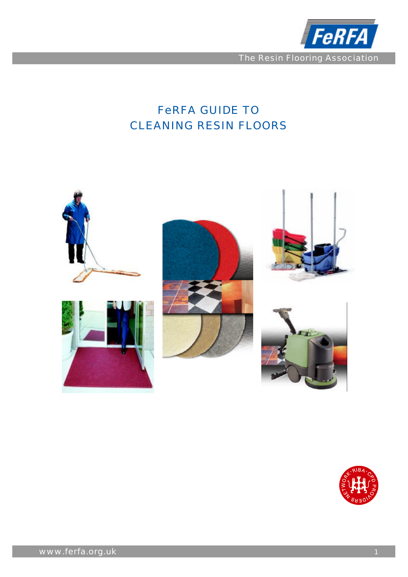

# FeRFA GUIDE TO CLEANING RESIN FLOORS



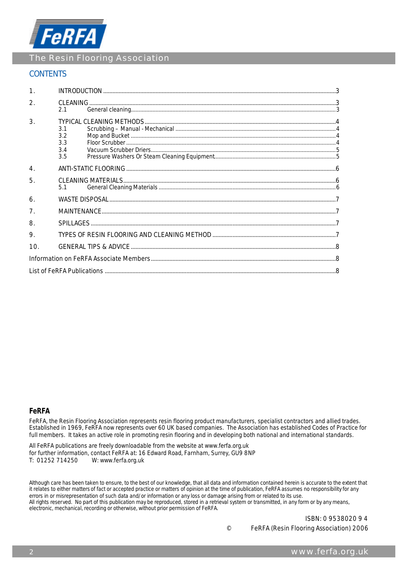

# **CONTENTS**

| 1 <sub>1</sub>   |                                 |  |  |  |  |
|------------------|---------------------------------|--|--|--|--|
| 2.               | 2.1                             |  |  |  |  |
| 3.               | 3.1<br>3.2<br>3.3<br>3.4<br>3.5 |  |  |  |  |
| $\overline{4}$ . |                                 |  |  |  |  |
| 5.               | 5.1                             |  |  |  |  |
| 6.               |                                 |  |  |  |  |
| 7 <sub>1</sub>   |                                 |  |  |  |  |
| 8.               |                                 |  |  |  |  |
| 9.               |                                 |  |  |  |  |
| 10.              |                                 |  |  |  |  |
|                  |                                 |  |  |  |  |
|                  |                                 |  |  |  |  |

# **FeRFA**

*FeRFA, the Resin Flooring Association represents resin flooring product manufacturers, specialist contractors and allied trades. Established in 1969, FeRFA now represents over 60 UK based companies. The Association has established Codes of Practice for full members. It takes an active role in promoting resin flooring and in developing both national and international standards.*

*All FeRFA publications are freely downloadable from the website at www.ferfa.org.uk for further information, contact FeRFA at: 16 Edward Road, Farnham, Surrey, GU9 8NP W: www.ferfa.org.uk* 

Although care has been taken to ensure, to the best of our knowledge, that all data and information contained herein is accurate to the extent that it relates to either matters of fact or accepted practice or matters of opinion at the time of publication, FeRFA assumes no responsibility for any errors in or misrepresentation of such data and/or information or any loss or damage arising from or related to its use. All rights reserved. No part of this publication may be reproduced, stored in a retrieval system or transmitted, in any form or by any means, electronic, mechanical, recording or otherwise, without prior permission of FeRFA.

> ISBN: 0 9538020 9 4 © FeRFA (Resin Flooring Association) 2006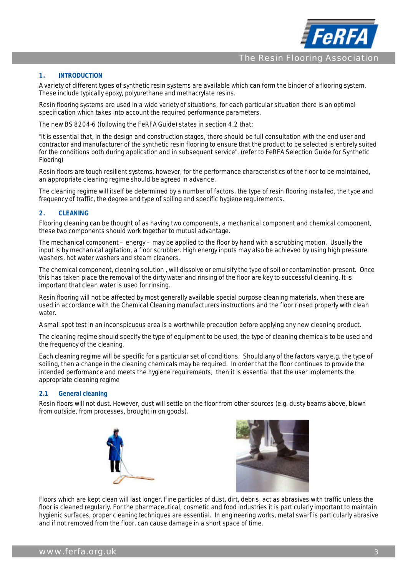

## **1. INTRODUCTION**

A variety of different types of synthetic resin systems are available which can form the binder of a flooring system. These include typically epoxy, polyurethane and methacrylate resins.

Resin flooring systems are used in a wide variety of situations, for each particular situation there is an optimal specification which takes into account the required performance parameters.

The new BS 8204-6 (following the FeRFA Guide) states in section 4.2 that:

"It is essential that, in the design and construction stages, there should be full consultation with the end user and contractor and manufacturer of the synthetic resin flooring to ensure that the product to be selected is entirely suited for the conditions both during application and in subsequent service". (refer to FeRFA Selection Guide for Synthetic Flooring)

Resin floors are tough resilient systems, however, for the performance characteristics of the floor to be maintained, an appropriate cleaning regime should be agreed in advance.

The cleaning regime will itself be determined by a number of factors, the type of resin flooring installed, the type and frequency of traffic, the degree and type of soiling and specific hygiene requirements.

#### **2. CLEANING**

Flooring cleaning can be thought of as having two components, a mechanical component and chemical component, these two components should work together to mutual advantage.

The mechanical component – energy – may be applied to the floor by hand with a scrubbing motion. Usually the input is by mechanical agitation, a floor scrubber. High energy inputs may also be achieved by using high pressure washers, hot water washers and steam cleaners.

The chemical component, cleaning solution , will dissolve or emulsify the type of soil or contamination present. Once this has taken place the removal of the dirty water and rinsing of the floor are key to successful cleaning. It is important that clean water is used for rinsing.

Resin flooring will not be affected by most generally available special purpose cleaning materials, when these are used in accordance with the Chemical Cleaning manufacturers instructions and the floor rinsed properly with clean water.

A small spot test in an inconspicuous area is a worthwhile precaution before applying any new cleaning product.

The cleaning regime should specify the type of equipment to be used, the type of cleaning chemicals to be used and the frequency of the cleaning.

Each cleaning regime will be specific for a particular set of conditions. Should any of the factors vary e.g. the type of soiling, then a change in the cleaning chemicals may be required. In order that the floor continues to provide the intended performance and meets the hygiene requirements, then it is essential that the user implements the appropriate cleaning regime

#### **2.1 General cleaning**

Resin floors will not dust. However, dust will settle on the floor from other sources (e.g. dusty beams above, blown from outside, from processes, brought in on goods).





Floors which are kept clean will last longer. Fine particles of dust, dirt, debris, act as abrasives with traffic unless the floor is cleaned regularly. For the pharmaceutical, cosmetic and food industries it is particularly important to maintain hygienic surfaces, proper cleaning techniques are essential. In engineering works, metal swarf is particularly abrasive and if not removed from the floor, can cause damage in a short space of time.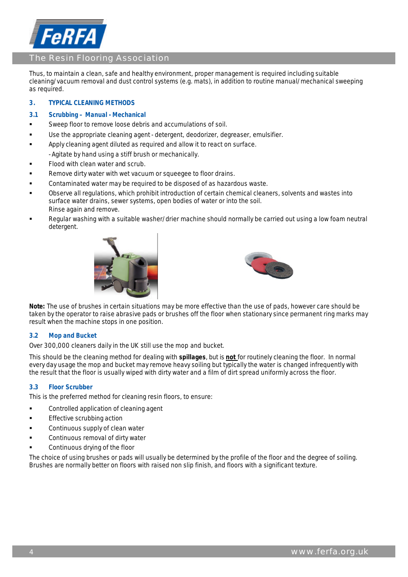

Thus, to maintain a clean, safe and healthy environment, proper management is required including suitable cleaning/vacuum removal and dust control systems (e.g. mats), in addition to routine manual/mechanical sweeping as required.

## **3. TYPICAL CLEANING METHODS**

## **3.1 Scrubbing – Manual - Mechanical**

- **Sweep floor to remove loose debris and accumulations of soil.**
- Use the appropriate cleaning agent detergent, deodorizer, degreaser, emulsifier.
- Apply cleaning agent diluted as required and allow it to react on surface. - Agitate by hand using a stiff brush or mechanically.
- Flood with clean water and scrub.
- ß Remove dirty water with wet vacuum or squeegee to floor drains.
- Contaminated water may be required to be disposed of as hazardous waste.
- ß Observe all regulations, which prohibit introduction of certain chemical cleaners, solvents and wastes into surface water drains, sewer systems, open bodies of water or into the soil. Rinse again and remove.
- ß Regular washing with a suitable washer/drier machine should normally be carried out using a low foam neutral detergent.





**Note:** The use of brushes in certain situations may be more effective than the use of pads, however care should be taken by the operator to raise abrasive pads or brushes off the floor when stationary since permanent ring marks may result when the machine stops in one position.

## **3.2 Mop and Bucket**

Over 300,000 cleaners daily in the UK still use the mop and bucket.

This should be the cleaning method for dealing with **spillages**, but is **not** for routinely cleaning the floor. In normal every day usage the mop and bucket may remove heavy soiling but typically the water is changed infrequently with the result that the floor is usually wiped with dirty water and a film of dirt spread uniformly across the floor.

## **3.3 Floor Scrubber**

This is the preferred method for cleaning resin floors, to ensure:

- **EXECONDED CONTROLLED APPLICATION OF CLEANING AGENCY**
- ß Effective scrubbing action
- Continuous supply of clean water
- ß Continuous removal of dirty water
- ß Continuous drying of the floor

The choice of using brushes or pads will usually be determined by the profile of the floor and the degree of soiling. Brushes are normally better on floors with raised non slip finish, and floors with a significant texture.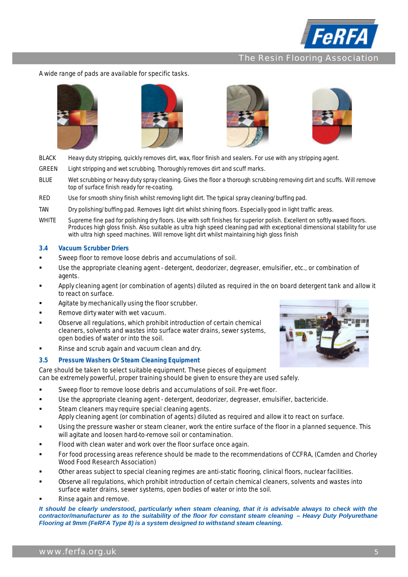

A wide range of pads are available for specific tasks.









- BLACK Heavy duty stripping, quickly removes dirt, wax, floor finish and sealers. For use with any stripping agent.
- GREEN Light stripping and wet scrubbing. Thoroughly removes dirt and scuff marks.
- BLUE Wet scrubbing or heavy duty spray cleaning. Gives the floor a thorough scrubbing removing dirt and scuffs. Will remove top of surface finish ready for re-coating.
- RED Use for smooth shiny finish whilst removing light dirt. The typical spray cleaning/buffing pad.
- TAN Dry polishing/buffing pad. Removes light dirt whilst shining floors. Especially good in light traffic areas.
- WHITE Supreme fine pad for polishing dry floors. Use with soft finishes for superior polish. Excellent on softly waxed floors. Produces high gloss finish. Also suitable as ultra high speed cleaning pad with exceptional dimensional stability for use with ultra high speed machines. Will remove light dirt whilst maintaining high gloss finish

#### **3.4 Vacuum Scrubber Driers**

- ß Sweep floor to remove loose debris and accumulations of soil.
- Use the appropriate cleaning agent detergent, deodorizer, degreaser, emulsifier, etc., or combination of agents.
- ß Apply cleaning agent (or combination of agents) diluted as required in the on board detergent tank and allow it to react on surface.
- Agitate by mechanically using the floor scrubber.
- **Remove dirty water with wet vacuum.**
- Observe all regulations, which prohibit introduction of certain chemical cleaners, solvents and wastes into surface water drains, sewer systems, open bodies of water or into the soil.
- ß Rinse and scrub again and vacuum clean and dry.

#### **3.5 Pressure Washers Or Steam Cleaning Equipment**

*Care should be taken to select suitable equipment. These pieces of equipment can be extremely powerful, proper training should be given to ensure they are used safely.*

- **SWEED floor to remove loose debris and accumulations of soil. Pre-wet floor.**
- Use the appropriate cleaning agent detergent, deodorizer, degreaser, emulsifier, bactericide.
- Steam cleaners may require special cleaning agents. Apply cleaning agent (or combination of agents) diluted as required and allow it to react on surface.
- ß Using the pressure washer or steam cleaner, work the entire surface of the floor in a planned sequence. This will agitate and loosen hard-to-remove soil or contamination.
- Flood with clean water and work over the floor surface once again.
- ß For food processing areas reference should be made to the recommendations of CCFRA, (Camden and Chorley Wood Food Research Association)
- Other areas subject to special cleaning regimes are anti-static flooring, clinical floors, nuclear facilities.
- ß Observe all regulations, which prohibit introduction of certain chemical cleaners, solvents and wastes into surface water drains, sewer systems, open bodies of water or into the soil.
- ß Rinse again and remove.

#### *It should be clearly understood, particularly when steam cleaning, that it is advisable always to check with the*  contractor/manufacturer as to the suitability of the floor for constant steam cleaning – Heavy Duty Polyurethane *Flooring at 9mm (FeRFA Type 8) is a system designed to withstand steam cleaning.*

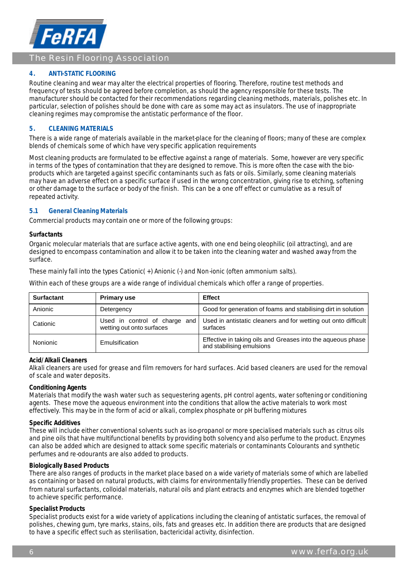

## **4. ANTI-STATIC FLOORING**

Routine cleaning and wear may alter the electrical properties of flooring. Therefore, routine test methods and frequency of tests should be agreed before completion, as should the agency responsible for these tests. The manufacturer should be contacted for their recommendations regarding cleaning methods, materials, polishes etc. In particular, selection of polishes should be done with care as some may act as insulators. The use of inappropriate cleaning regimes may compromise the antistatic performance of the floor.

## **5. CLEANING MATERIALS**

There is a wide range of materials available in the market-place for the cleaning of floors; many of these are complex blends of chemicals some of which have very specific application requirements

Most cleaning products are formulated to be effective against a range of materials. Some, however are very specific in terms of the types of contamination that they are designed to remove. This is more often the case with the bioproducts which are targeted against specific contaminants such as fats or oils. Similarly, some cleaning materials may have an adverse effect on a specific surface if used in the wrong concentration, giving rise to etching, softening or other damage to the surface or body of the finish. This can be a one off effect or cumulative as a result of repeated activity.

## **5.1 General Cleaning Materials**

Commercial products may contain one or more of the following groups:

#### **Surfactants**

Organic molecular materials that are surface active agents, with one end being oleophilic (oil attracting), and are designed to encompass contamination and allow it to be taken into the cleaning water and washed away from the surface.

These mainly fall into the types Cationic( +) Anionic (-) and Non-ionic (often ammonium salts).

Within each of these groups are a wide range of individual chemicals which offer a range of properties.

| <b>Surfactant</b> | <b>Primary use</b>        | <b>Effect</b>                                                                                            |
|-------------------|---------------------------|----------------------------------------------------------------------------------------------------------|
| Anionic           | Detergency                | Good for generation of foams and stabilising dirt in solution                                            |
| Cationic          | wetting out onto surfaces | Used in control of charge and Used in antistatic cleaners and for wetting out onto difficult<br>surfaces |
| Nonionic          | Emulsification            | Effective in taking oils and Greases into the aqueous phase<br>and stabilising emulsions                 |

#### **Acid/Alkali Cleaners**

Alkali cleaners are used for grease and film removers for hard surfaces. Acid based cleaners are used for the removal of scale and water deposits.

## **Conditioning Agents**

Materials that modify the wash water such as sequestering agents, pH control agents, water softening or conditioning agents. These move the aqueous environment into the conditions that allow the active materials to work most effectively. This may be in the form of acid or alkali, complex phosphate or pH buffering mixtures

#### **Specific Additives**

These will include either conventional solvents such as iso-propanol or more specialised materials such as citrus oils and pine oils that have multifunctional benefits by providing both solvency and also perfume to the product. Enzymes can also be added which are designed to attack some specific materials or contaminants Colourants and synthetic perfumes and re-odourants are also added to products.

#### **Biologically Based Products**

There are also ranges of products in the market place based on a wide variety of materials some of which are labelled as containing or based on natural products, with claims for environmentally friendly properties. These can be derived from natural surfactants, colloidal materials, natural oils and plant extracts and enzymes which are blended together to achieve specific performance.

## **Specialist Products**

Specialist products exist for a wide variety of applications including the cleaning of antistatic surfaces, the removal of polishes, chewing gum, tyre marks, stains, oils, fats and greases etc. In addition there are products that are designed to have a specific effect such as sterilisation, bactericidal activity, disinfection.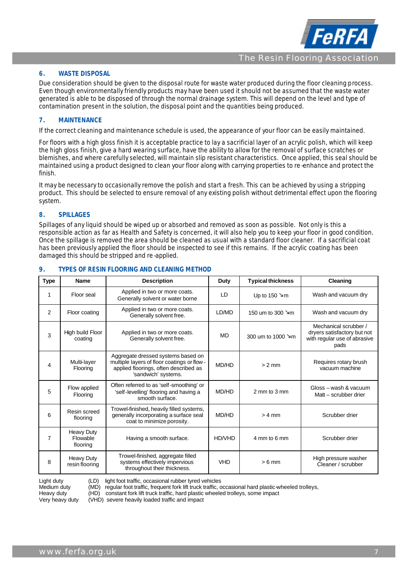

## **6. WASTE DISPOSAL**

Due consideration should be given to the disposal route for waste water produced during the floor cleaning process. Even though environmentally friendly products may have been used it should not be assumed that the waste water generated is able to be disposed of through the normal drainage system. This will depend on the level and type of contamination present in the solution, the disposal point and the quantities being produced.

## **7. MAINTENANCE**

If the correct cleaning and maintenance schedule is used, the appearance of your floor can be easily maintained.

For floors with a high gloss finish it is acceptable practice to lay a sacrificial layer of an acrylic polish, which will keep the high gloss finish, give a hard wearing surface, have the ability to allow for the removal of surface scratches or blemishes, and where carefully selected, will maintain slip resistant characteristics. Once applied, this seal should be maintained using a product designed to clean your floor along with carrying properties to re -enhance and protect the finish.

It may be necessary to occasionally remove the polish and start a fresh. This can be achieved by using a stripping product. This should be selected to ensure removal of any existing polish without detrimental effect upon the flooring system.

## **8. SPILLAGES**

Spillages of any liquid should be wiped up or absorbed and removed as soon as possible. Not only is this a responsible action as far as Health and Safety is concerned, it will also help you to keep your floor in good condition. Once the spillage is removed the area should be cleaned as usual with a standard floor cleaner. If a sacrificial coat has been previously applied the floor should be inspected to see if this remains. If the acrylic coating has been damaged this should be stripped and re -applied.

| <b>Type</b>    | <b>Name</b>                               | <b>Description</b>                                                                                                                                | Duty       | <b>Typical thickness</b> | Cleaning                                                                                     |
|----------------|-------------------------------------------|---------------------------------------------------------------------------------------------------------------------------------------------------|------------|--------------------------|----------------------------------------------------------------------------------------------|
| 1              | Floor seal                                | Applied in two or more coats.<br>Generally solvent or water borne                                                                                 | LD         | Up to 150 $\Im$ m        | Wash and vacuum dry                                                                          |
| 2              | Floor coating                             | Applied in two or more coats.<br>Generally solvent free.                                                                                          | LD/MD      | 150 um to 300 ≥m         | Wash and vacuum dry                                                                          |
| 3              | High build Floor<br>coating               | Applied in two or more coats.<br>Generally solvent free.                                                                                          | <b>MD</b>  | 300 um to 1000 ≥m        | Mechanical scrubber /<br>dryers satisfactory but not<br>with regular use of abrasive<br>pads |
| 4              | <b>Multi-layer</b><br>Flooring            | Aggregate dressed systems based on<br>multiple layers of floor coatings or flow -<br>applied floorings, often described as<br>'sandwich' systems. | MD/HD      | $> 2$ mm                 | Requires rotary brush<br>vacuum machine                                                      |
| 5              | Flow applied<br>Flooring                  | Often referred to as 'self-smoothing' or<br>'self-levelling' flooring and having a<br>smooth surface.                                             | MD/HD      | 2 mm to 3 mm             | Gloss - wash & vacuum<br>Matt - scrubber drier                                               |
| 6              | Resin screed<br>flooring                  | Trowel-finished, heavily filled systems,<br>generally incorporating a surface seal<br>coat to minimize porosity.                                  | MD/HD      | $> 4$ mm                 | Scrubber drier                                                                               |
| $\overline{7}$ | <b>Heavy Duty</b><br>Flowable<br>flooring | Having a smooth surface.                                                                                                                          | HD/VHD     | 4 mm to 6 mm             | Scrubber drier                                                                               |
| 8              | <b>Heavy Duty</b><br>resin flooring       | Trowel-finished, aggregate filled<br>systems effectively impervious<br>throughout their thickness.                                                | <b>VHD</b> | $>6$ mm                  | High pressure washer<br>Cleaner / scrubber                                                   |

## **9. TYPES OF RESIN FLOORING AND CLEANING METHOD**

Light duty (LD) light foot traffic, occasional rubber tyred vehicles<br>Medium duty (MD) regular foot traffic, frequent fork lift truck traffic, o  $(MD)$  regular foot traffic, frequent fork lift truck traffic, occasional hard plastic-wheeled trolleys,

Heavy duty (HD) constant fork lift truck traffic, hard plastic wheeled trolleys, some impact

Very heavy duty (VHD) severe heavily loaded traffic and impact